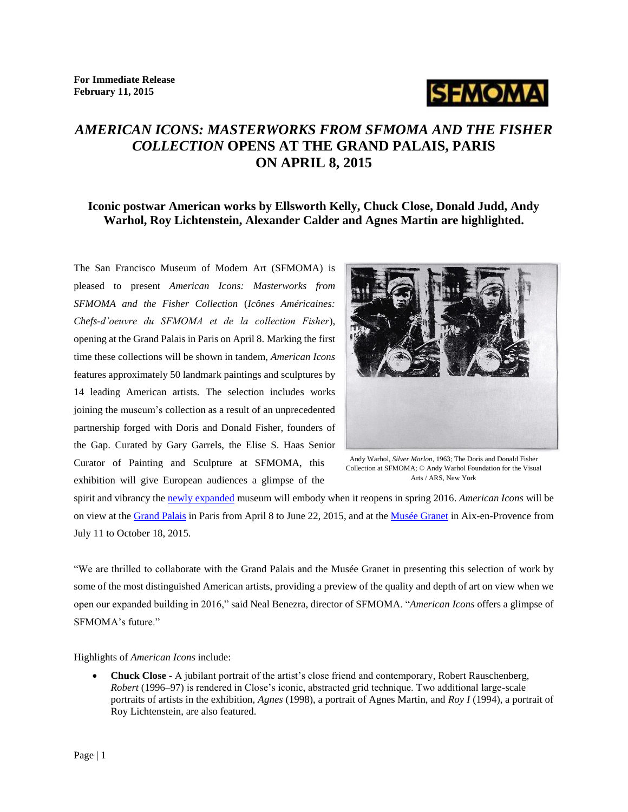**For Immediate Release February 11, 2015**



# *AMERICAN ICONS: MASTERWORKS FROM SFMOMA AND THE FISHER COLLECTION* **OPENS AT THE GRAND PALAIS, PARIS ON APRIL 8, 2015**

### **Iconic postwar American works by Ellsworth Kelly, Chuck Close, Donald Judd, Andy Warhol, Roy Lichtenstein, Alexander Calder and Agnes Martin are highlighted.**

The San Francisco Museum of Modern Art (SFMOMA) is pleased to present *American Icons: Masterworks from SFMOMA and the Fisher Collection* (*Icônes Américaines: Chefs-d'oeuvre du SFMOMA et de la collection Fisher*), opening at the Grand Palais in Paris on April 8. Marking the first time these collections will be shown in tandem, *American Icons* features approximately 50 landmark paintings and sculptures by 14 leading American artists. The selection includes works joining the museum's collection as a result of an unprecedented partnership forged with Doris and Donald Fisher, founders of the Gap. Curated by Gary Garrels, the Elise S. Haas Senior Curator of Painting and Sculpture at SFMOMA, this exhibition will give European audiences a glimpse of the



Andy Warhol, *Silver Marlon*, 1963; The Doris and Donald Fisher Collection at SFMOMA; © Andy Warhol Foundation for the Visual Arts / ARS, New York

spirit and vibrancy th[e newly expanded](http://future.sfmoma.org/#home) museum will embody when it reopens in spring 2016. *American Icons* will be on view at the [Grand Palais](http://www.grandpalais.fr/en) in Paris from April 8 to June 22, 2015, and at the [Musée Granet](http://www.museegranet-aixenprovence.fr/) in Aix-en-Provence from July 11 to October 18, 2015.

"We are thrilled to collaborate with the Grand Palais and the Musée Granet in presenting this selection of work by some of the most distinguished American artists, providing a preview of the quality and depth of art on view when we open our expanded building in 2016," said Neal Benezra, director of SFMOMA. "*American Icons* offers a glimpse of SFMOMA's future."

Highlights of *American Icons* include:

 **Chuck Close -** A jubilant portrait of the artist's close friend and contemporary, Robert Rauschenberg, *Robert* (1996–97) is rendered in Close's iconic, abstracted grid technique. Two additional large-scale portraits of artists in the exhibition, *Agnes* (1998), a portrait of Agnes Martin, and *Roy I* (1994), a portrait of Roy Lichtenstein, are also featured.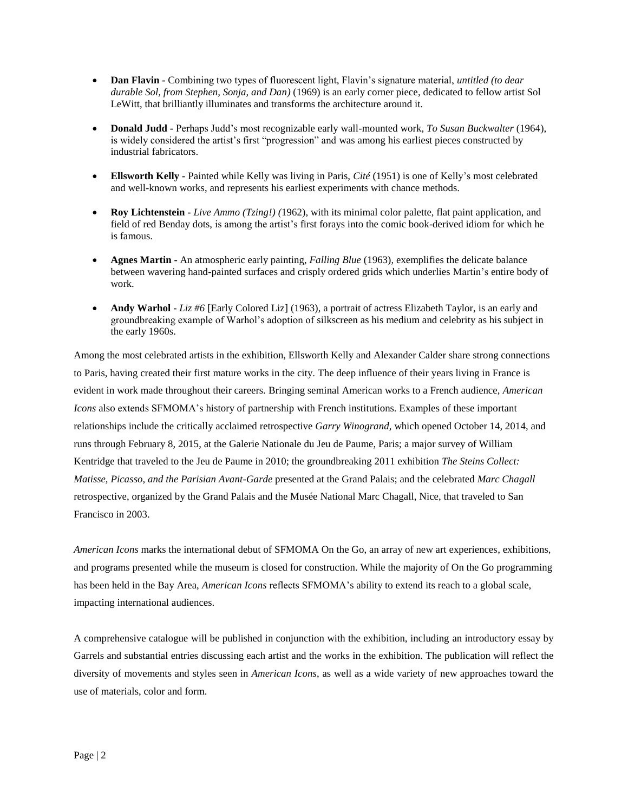- **Dan Flavin -** Combining two types of fluorescent light, Flavin's signature material, *untitled (to dear durable Sol, from Stephen, Sonja, and Dan)* (1969) is an early corner piece, dedicated to fellow artist Sol LeWitt, that brilliantly illuminates and transforms the architecture around it.
- **Donald Judd -** Perhaps Judd's most recognizable early wall-mounted work, *To Susan Buckwalter* (1964), is widely considered the artist's first "progression" and was among his earliest pieces constructed by industrial fabricators.
- **Ellsworth Kelly -** Painted while Kelly was living in Paris, *Cité* (1951) is one of Kelly's most celebrated and well-known works, and represents his earliest experiments with chance methods.
- **Roy Lichtenstein -** *Live Ammo (Tzing!) (*1962), with its minimal color palette, flat paint application, and field of red Benday dots, is among the artist's first forays into the comic book-derived idiom for which he is famous.
- **Agnes Martin -** An atmospheric early painting, *Falling Blue* (1963), exemplifies the delicate balance between wavering hand-painted surfaces and crisply ordered grids which underlies Martin's entire body of work.
- **Andy Warhol -** *Liz #6* [Early Colored Liz] (1963), a portrait of actress Elizabeth Taylor, is an early and groundbreaking example of Warhol's adoption of silkscreen as his medium and celebrity as his subject in the early 1960s.

Among the most celebrated artists in the exhibition, Ellsworth Kelly and Alexander Calder share strong connections to Paris, having created their first mature works in the city. The deep influence of their years living in France is evident in work made throughout their careers. Bringing seminal American works to a French audience, *American Icons* also extends SFMOMA's history of partnership with French institutions. Examples of these important relationships include the critically acclaimed retrospective *Garry Winogrand*, which opened October 14, 2014, and runs through February 8, 2015, at the Galerie Nationale du Jeu de Paume, Paris; a major survey of William Kentridge that traveled to the Jeu de Paume in 2010; the groundbreaking 2011 exhibition *The Steins Collect: Matisse, Picasso, and the Parisian Avant-Garde* presented at the Grand Palais; and the celebrated *Marc Chagall*  retrospective, organized by the Grand Palais and the Musée National Marc Chagall, Nice, that traveled to San Francisco in 2003.

*American Icons* marks the international debut of SFMOMA On the Go, an array of new art experiences, exhibitions, and programs presented while the museum is closed for construction. While the majority of On the Go programming has been held in the Bay Area, *American Icons* reflects SFMOMA's ability to extend its reach to a global scale, impacting international audiences.

A comprehensive catalogue will be published in conjunction with the exhibition, including an introductory essay by Garrels and substantial entries discussing each artist and the works in the exhibition. The publication will reflect the diversity of movements and styles seen in *American Icons*, as well as a wide variety of new approaches toward the use of materials, color and form.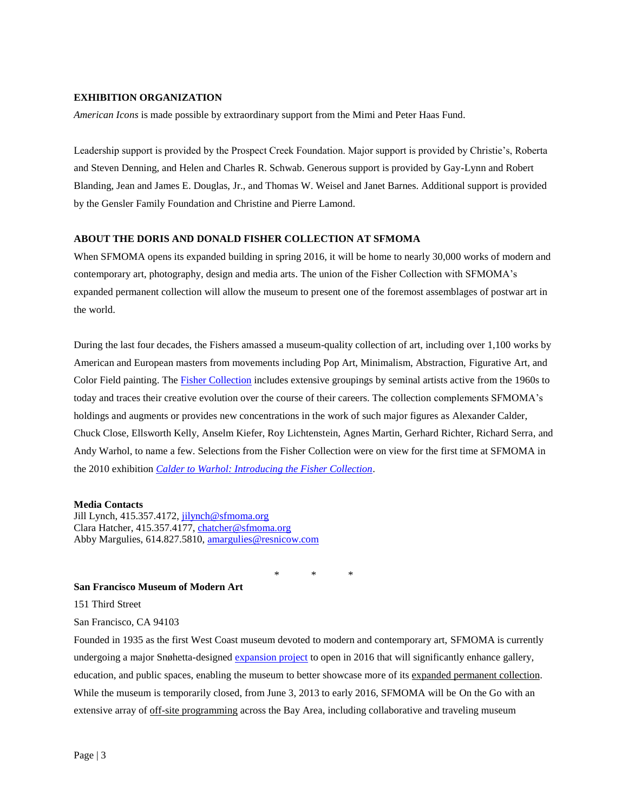#### **EXHIBITION ORGANIZATION**

*American Icons* is made possible by extraordinary support from the Mimi and Peter Haas Fund.

Leadership support is provided by the Prospect Creek Foundation. Major support is provided by Christie's, Roberta and Steven Denning, and Helen and Charles R. Schwab. Generous support is provided by Gay-Lynn and Robert Blanding, Jean and James E. Douglas, Jr., and Thomas W. Weisel and Janet Barnes. Additional support is provided by the Gensler Family Foundation and Christine and Pierre Lamond.

#### **ABOUT THE DORIS AND DONALD FISHER COLLECTION AT SFMOMA**

When SFMOMA opens its expanded building in spring 2016, it will be home to nearly 30,000 works of modern and contemporary art, photography, design and media arts. The union of the Fisher Collection with SFMOMA's expanded permanent collection will allow the museum to present one of the foremost assemblages of postwar art in the world.

During the last four decades, the Fishers amassed a museum-quality collection of art, including over 1,100 works by American and European masters from movements including Pop Art, Minimalism, Abstraction, Figurative Art, and Color Field painting. The [Fisher Collection](http://www.sfmoma.org/our_expansion/expansion_expanded_collection/expansion_fisher_collection) includes extensive groupings by seminal artists active from the 1960s to today and traces their creative evolution over the course of their careers. The collection complements SFMOMA's holdings and augments or provides new concentrations in the work of such major figures as Alexander Calder, Chuck Close, Ellsworth Kelly, Anselm Kiefer, Roy Lichtenstein, Agnes Martin, Gerhard Richter, Richard Serra, and Andy Warhol, to name a few. Selections from the Fisher Collection were on view for the first time at SFMOMA in the 2010 exhibition *[Calder to Warhol: Introducing the Fisher Collection](http://www.sfmoma.org/exhibitions/412)*.

#### **Media Contacts**

Jill Lynch, 415.357.4172, [jilynch@sfmoma.org](mailto:jilynch@sfmoma.org) Clara Hatcher, 415.357.4177, [chatcher@sfmoma.org](mailto:chatcher@sfmoma.org) Abby Margulies, 614.827.5810, [amargulies@resnicow.com](mailto:amargulies@resnicow.com)

\* \* \*

#### **San Francisco Museum of Modern Art**

151 Third Street

San Francisco, CA 94103

Founded in 1935 as the first West Coast museum devoted to modern and contemporary art, SFMOMA is currently undergoing a major Snøhetta-designed [expansion project](http://future.sfmoma.org/#home) to open in 2016 that will significantly enhance gallery, education, and public spaces, enabling the museum to better showcase more of it[s expanded permanent collection.](http://www.sfmoma.org/our_expansion/expansion_expanded_collection) While the museum is temporarily closed, from June 3, 2013 to early 2016, SFMOMA will be On the Go with an extensive array of [off-site programming](http://www.sfmoma.org/about/press/press_aes) across the Bay Area, including collaborative and traveling museum